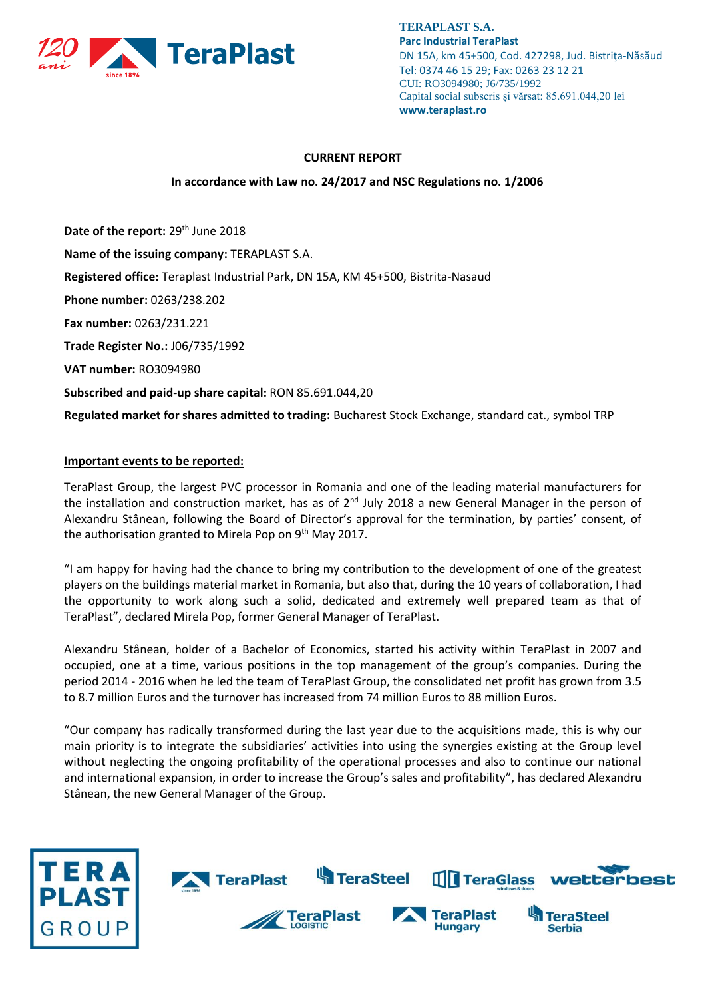

**TERAPLAST S.A. Parc Industrial TeraPlast** DN 15A, km 45+500, Cod. 427298, Jud. Bistriţa-Năsăud Tel: 0374 46 15 29; Fax: 0263 23 12 21 CUI: RO3094980; J6/735/1992 Capital social subscris și vărsat: 85.691.044,20 lei **www.teraplast.ro**

## **CURRENT REPORT**

## **In accordance with Law no. 24/2017 and NSC Regulations no. 1/2006**

Date of the report: 29<sup>th</sup> June 2018 **Name of the issuing company:** TERAPLAST S.A. **Registered office:** Teraplast Industrial Park, DN 15A, KM 45+500, Bistrita-Nasaud **Phone number:** 0263/238.202 **Fax number:** 0263/231.221 **Trade Register No.:** J06/735/1992 **VAT number:** RO3094980 **Subscribed and paid-up share capital:** RON 85.691.044,20

**Regulated market for shares admitted to trading:** Bucharest Stock Exchange, standard cat., symbol TRP

# **Important events to be reported:**

TeraPlast Group, the largest PVC processor in Romania and one of the leading material manufacturers for the installation and construction market, has as of  $2^{nd}$  July 2018 a new General Manager in the person of Alexandru Stânean, following the Board of Director's approval for the termination, by parties' consent, of the authorisation granted to Mirela Pop on  $9<sup>th</sup>$  May 2017.

"I am happy for having had the chance to bring my contribution to the development of one of the greatest players on the buildings material market in Romania, but also that, during the 10 years of collaboration, I had the opportunity to work along such a solid, dedicated and extremely well prepared team as that of TeraPlast", declared Mirela Pop, former General Manager of TeraPlast.

Alexandru Stânean, holder of a Bachelor of Economics, started his activity within TeraPlast in 2007 and occupied, one at a time, various positions in the top management of the group's companies. During the period 2014 - 2016 when he led the team of TeraPlast Group, the consolidated net profit has grown from 3.5 to 8.7 million Euros and the turnover has increased from 74 million Euros to 88 million Euros.

"Our company has radically transformed during the last year due to the acquisitions made, this is why our main priority is to integrate the subsidiaries' activities into using the synergies existing at the Group level without neglecting the ongoing profitability of the operational processes and also to continue our national and international expansion, in order to increase the Group's sales and profitability", has declared Alexandru Stânean, the new General Manager of the Group.

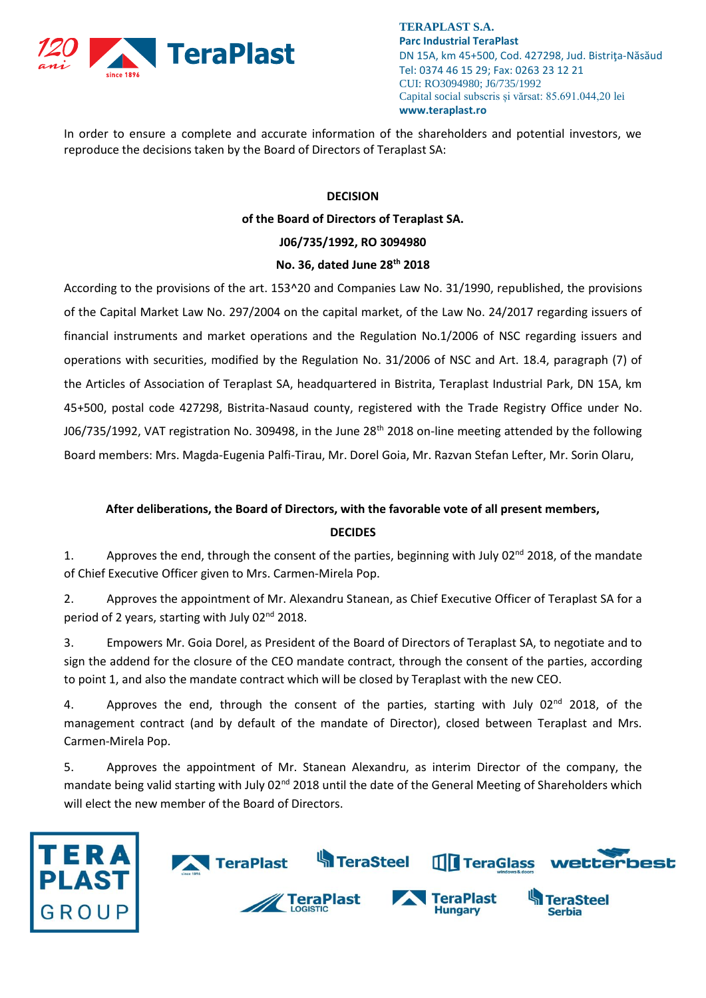

**TERAPLAST S.A. Parc Industrial TeraPlast** DN 15A, km 45+500, Cod. 427298, Jud. Bistriţa-Năsăud Tel: 0374 46 15 29; Fax: 0263 23 12 21 CUI: RO3094980; J6/735/1992 Capital social subscris și vărsat: 85.691.044,20 lei **www.teraplast.ro**

In order to ensure a complete and accurate information of the shareholders and potential investors, we reproduce the decisions taken by the Board of Directors of Teraplast SA:

## **DECISION**

**of the Board of Directors of Teraplast SA.**

#### **J06/735/1992, RO 3094980**

#### **No. 36, dated June 28th 2018**

According to the provisions of the art. 153^20 and Companies Law No. 31/1990, republished, the provisions of the Capital Market Law No. 297/2004 on the capital market, of the Law No. 24/2017 regarding issuers of financial instruments and market operations and the Regulation No.1/2006 of NSC regarding issuers and operations with securities, modified by the Regulation No. 31/2006 of NSC and Art. 18.4, paragraph (7) of the Articles of Association of Teraplast SA, headquartered in Bistrita, Teraplast Industrial Park, DN 15A, km 45+500, postal code 427298, Bistrita-Nasaud county, registered with the Trade Registry Office under No. J06/735/1992, VAT registration No. 309498, in the June  $28<sup>th</sup>$  2018 on-line meeting attended by the following Board members: Mrs. Magda-Eugenia Palfi-Tirau, Mr. Dorel Goia, Mr. Razvan Stefan Lefter, Mr. Sorin Olaru,

### **After deliberations, the Board of Directors, with the favorable vote of all present members,**

### **DECIDES**

1. Approves the end, through the consent of the parties, beginning with July 02<sup>nd</sup> 2018, of the mandate of Chief Executive Officer given to Mrs. Carmen-Mirela Pop.

2. Approves the appointment of Mr. Alexandru Stanean, as Chief Executive Officer of Teraplast SA for a period of 2 years, starting with July 02nd 2018.

3. Empowers Mr. Goia Dorel, as President of the Board of Directors of Teraplast SA, to negotiate and to sign the addend for the closure of the CEO mandate contract, through the consent of the parties, according to point 1, and also the mandate contract which will be closed by Teraplast with the new CEO.

4. Approves the end, through the consent of the parties, starting with July  $02^{nd}$  2018, of the management contract (and by default of the mandate of Director), closed between Teraplast and Mrs. Carmen-Mirela Pop.

5. Approves the appointment of Mr. Stanean Alexandru, as interim Director of the company, the mandate being valid starting with July 02<sup>nd</sup> 2018 until the date of the General Meeting of Shareholders which will elect the new member of the Board of Directors.